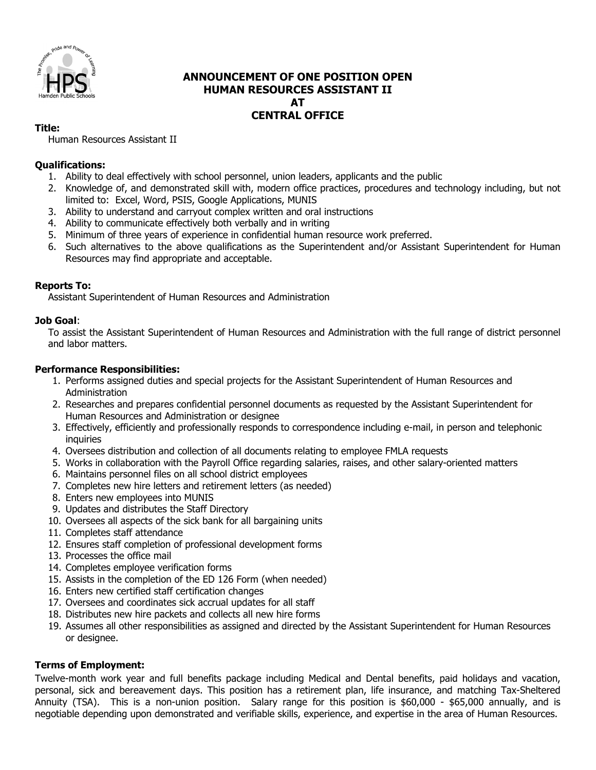

# **ANNOUNCEMENT OF ONE POSITION OPEN HUMAN RESOURCES ASSISTANT II AT CENTRAL OFFICE**

#### **Title:**

Human Resources Assistant II

### **Qualifications:**

- 1. Ability to deal effectively with school personnel, union leaders, applicants and the public
- 2. Knowledge of, and demonstrated skill with, modern office practices, procedures and technology including, but not limited to: Excel, Word, PSIS, Google Applications, MUNIS
- 3. Ability to understand and carryout complex written and oral instructions
- 4. Ability to communicate effectively both verbally and in writing
- 5. Minimum of three years of experience in confidential human resource work preferred.
- 6. Such alternatives to the above qualifications as the Superintendent and/or Assistant Superintendent for Human Resources may find appropriate and acceptable.

### **Reports To:**

Assistant Superintendent of Human Resources and Administration

### **Job Goal**:

To assist the Assistant Superintendent of Human Resources and Administration with the full range of district personnel and labor matters.

#### **Performance Responsibilities:**

- 1. Performs assigned duties and special projects for the Assistant Superintendent of Human Resources and **Administration**
- 2. Researches and prepares confidential personnel documents as requested by the Assistant Superintendent for Human Resources and Administration or designee
- 3. Effectively, efficiently and professionally responds to correspondence including e-mail, in person and telephonic inquiries
- 4. Oversees distribution and collection of all documents relating to employee FMLA requests
- 5. Works in collaboration with the Payroll Office regarding salaries, raises, and other salary-oriented matters
- 6. Maintains personnel files on all school district employees
- 7. Completes new hire letters and retirement letters (as needed)
- 8. Enters new employees into MUNIS
- 9. Updates and distributes the Staff Directory
- 10. Oversees all aspects of the sick bank for all bargaining units
- 11. Completes staff attendance
- 12. Ensures staff completion of professional development forms
- 13. Processes the office mail
- 14. Completes employee verification forms
- 15. Assists in the completion of the ED 126 Form (when needed)
- 16. Enters new certified staff certification changes
- 17. Oversees and coordinates sick accrual updates for all staff
- 18. Distributes new hire packets and collects all new hire forms
- 19. Assumes all other responsibilities as assigned and directed by the Assistant Superintendent for Human Resources or designee.

### **Terms of Employment:**

Twelve-month work year and full benefits package including Medical and Dental benefits, paid holidays and vacation, personal, sick and bereavement days. This position has a retirement plan, life insurance, and matching Tax-Sheltered Annuity (TSA). This is a non-union position. Salary range for this position is \$60,000 - \$65,000 annually, and is negotiable depending upon demonstrated and verifiable skills, experience, and expertise in the area of Human Resources.